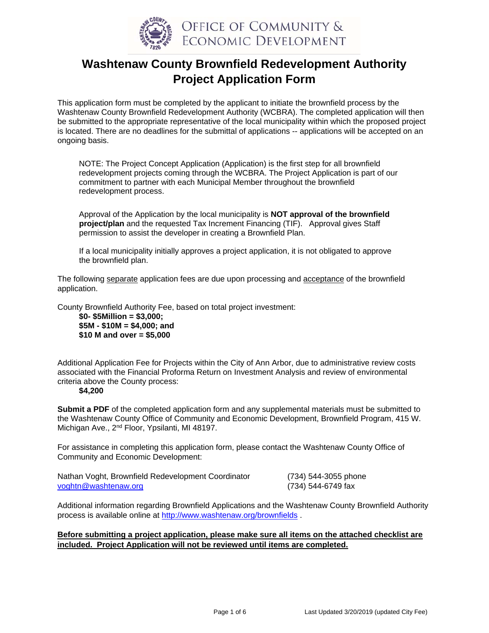

# **Washtenaw County Brownfield Redevelopment Authority Project Application Form**

This application form must be completed by the applicant to initiate the brownfield process by the Washtenaw County Brownfield Redevelopment Authority (WCBRA). The completed application will then be submitted to the appropriate representative of the local municipality within which the proposed project is located. There are no deadlines for the submittal of applications -- applications will be accepted on an ongoing basis.

NOTE: The Project Concept Application (Application) is the first step for all brownfield redevelopment projects coming through the WCBRA. The Project Application is part of our commitment to partner with each Municipal Member throughout the brownfield redevelopment process.

Approval of the Application by the local municipality is **NOT approval of the brownfield project/plan** and the requested Tax Increment Financing (TIF). Approval gives Staff permission to assist the developer in creating a Brownfield Plan.

If a local municipality initially approves a project application, it is not obligated to approve the brownfield plan.

The following separate application fees are due upon processing and acceptance of the brownfield application.

County Brownfield Authority Fee, based on total project investment:

**\$0- \$5Million = \$3,000; \$5M - \$10M = \$4,000; and \$10 M and over = \$5,000** 

Additional Application Fee for Projects within the City of Ann Arbor, due to administrative review costs associated with the Financial Proforma Return on Investment Analysis and review of environmental criteria above the County process:

#### **\$4,200**

**Submit a PDF** of the completed application form and any supplemental materials must be submitted to the Washtenaw County Office of Community and Economic Development, Brownfield Program, 415 W. Michigan Ave., 2nd Floor, Ypsilanti, MI 48197.

For assistance in completing this application form, please contact the Washtenaw County Office of Community and Economic Development:

| Nathan Voght, Brownfield Redevelopment Coordinator | (734) 544-3055 phone |
|----------------------------------------------------|----------------------|
| voghtn@washtenaw.org                               | (734) 544-6749 fax   |

Additional information regarding Brownfield Applications and the Washtenaw County Brownfield Authority process is available online at http://www.washtenaw.org/brownfields .

#### **Before submitting a project application, please make sure all items on the attached checklist are included. Project Application will not be reviewed until items are completed.**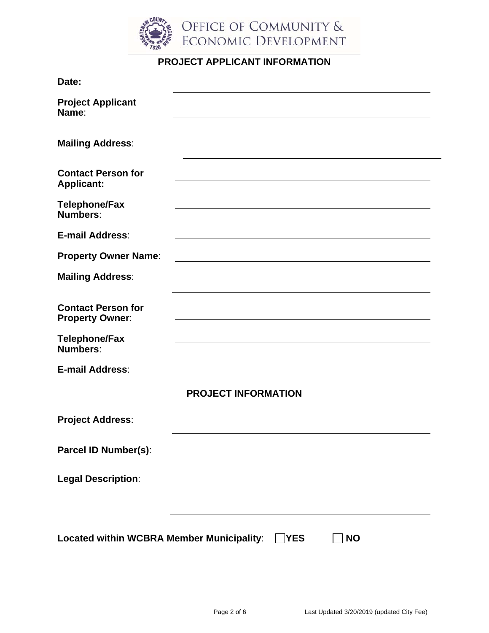

# **PROJECT APPLICANT INFORMATION**

| Date:                                                      |                            |  |  |  |
|------------------------------------------------------------|----------------------------|--|--|--|
| <b>Project Applicant</b><br>Name:                          |                            |  |  |  |
| <b>Mailing Address:</b>                                    |                            |  |  |  |
| <b>Contact Person for</b><br><b>Applicant:</b>             |                            |  |  |  |
| <b>Telephone/Fax</b><br>Numbers:                           |                            |  |  |  |
| E-mail Address:                                            |                            |  |  |  |
| <b>Property Owner Name:</b>                                |                            |  |  |  |
| <b>Mailing Address:</b>                                    |                            |  |  |  |
| <b>Contact Person for</b><br><b>Property Owner:</b>        |                            |  |  |  |
| <b>Telephone/Fax</b><br><b>Numbers:</b>                    |                            |  |  |  |
| E-mail Address:                                            |                            |  |  |  |
|                                                            | <b>PROJECT INFORMATION</b> |  |  |  |
| <b>Project Address:</b>                                    |                            |  |  |  |
| Parcel ID Number(s):                                       |                            |  |  |  |
| <b>Legal Description:</b>                                  |                            |  |  |  |
| Located within WCBRA Member Municipality: VES<br><b>NO</b> |                            |  |  |  |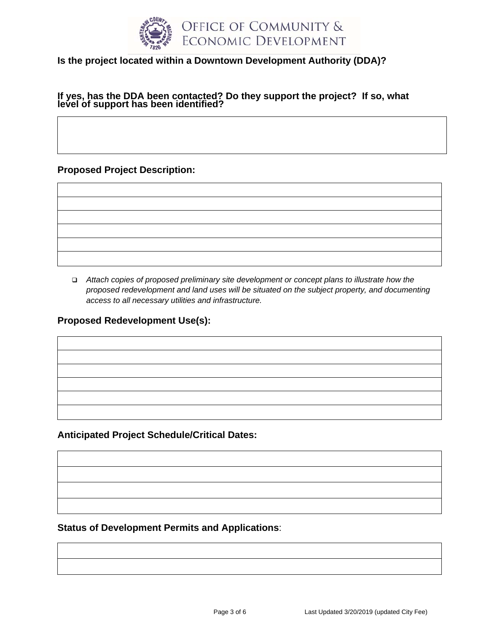

# **Is the project located within a Downtown Development Authority (DDA)?**

# **If yes, has the DDA been contacted? Do they support the project? If so, what level of support has been identified?**

**Proposed Project Description:** 

 *Attach copies of proposed preliminary site development or concept plans to illustrate how the proposed redevelopment and land uses will be situated on the subject property, and documenting access to all necessary utilities and infrastructure.* 

**Proposed Redevelopment Use(s):** 

**Anticipated Project Schedule/Critical Dates:** 

**Status of Development Permits and Applications**: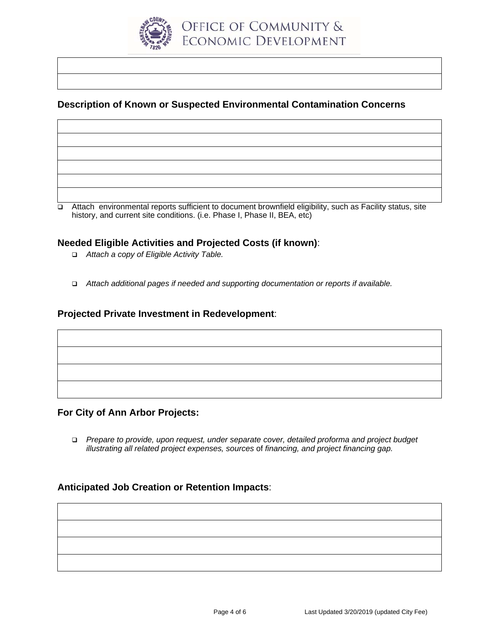

## **Description of Known or Suspected Environmental Contamination Concerns**

 Attach environmental reports sufficient to document brownfield eligibility, such as Facility status, site history, and current site conditions. (i.e. Phase I, Phase II, BEA, etc)

#### **Needed Eligible Activities and Projected Costs (if known)**:

- *Attach a copy of Eligible Activity Table.*
- *Attach additional pages if needed and supporting documentation or reports if available.*

#### **Projected Private Investment in Redevelopment**:

#### **For City of Ann Arbor Projects:**

 *Prepare to provide, upon request, under separate cover, detailed proforma and project budget illustrating all related project expenses, sources* of *financing, and project financing gap.* 

## **Anticipated Job Creation or Retention Impacts**: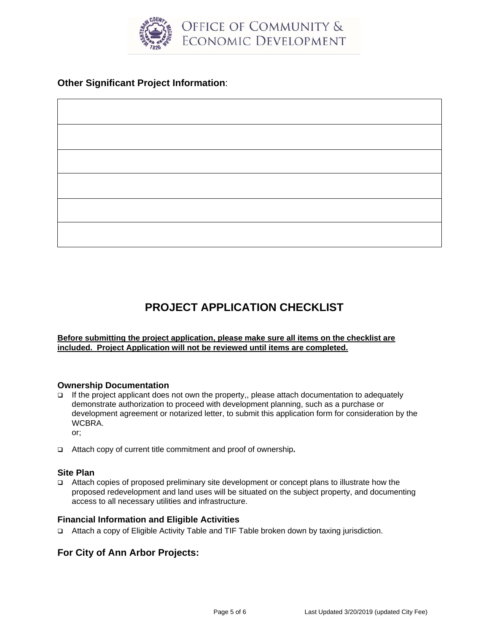

# **Other Significant Project Information**:

# **PROJECT APPLICATION CHECKLIST**

#### **Before submitting the project application, please make sure all items on the checklist are included. Project Application will not be reviewed until items are completed.**

#### **Ownership Documentation**

If the project applicant does not own the property,, please attach documentation to adequately demonstrate authorization to proceed with development planning, such as a purchase or development agreement or notarized letter, to submit this application form for consideration by the WCBRA.

or;

Attach copy of current title commitment and proof of ownership**.** 

#### **Site Plan**

 Attach copies of proposed preliminary site development or concept plans to illustrate how the proposed redevelopment and land uses will be situated on the subject property, and documenting access to all necessary utilities and infrastructure.

#### **Financial Information and Eligible Activities**

Attach a copy of Eligible Activity Table and TIF Table broken down by taxing jurisdiction.

## **For City of Ann Arbor Projects:**